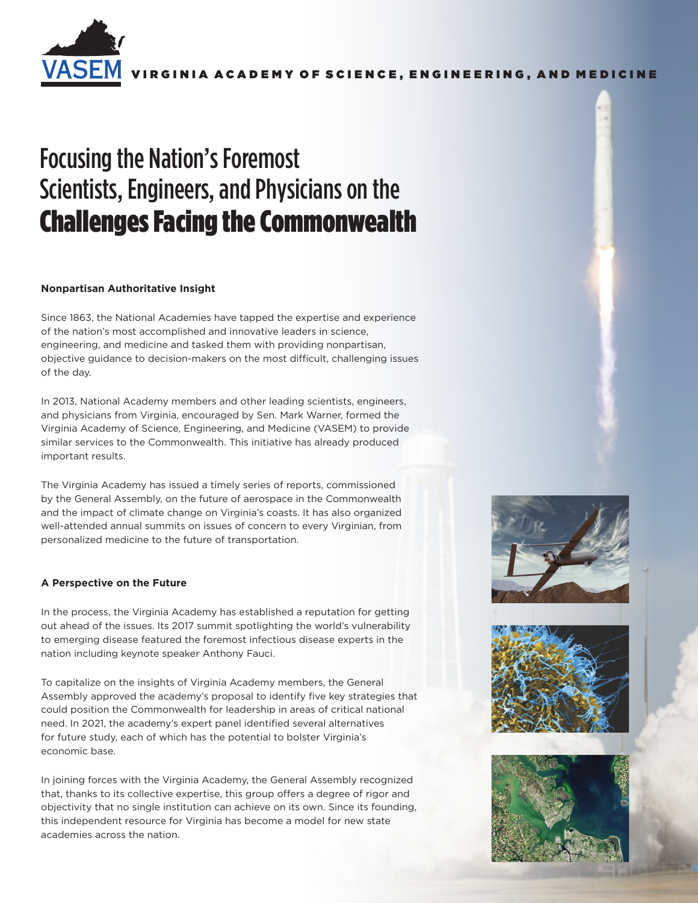

RGINIA ACADEMY OF SCIENCE, ENGINEERING, AND MEDICINE

# Focusing the Nation's Foremost Scientists, Engineers, and Physicians on the Challenges Facing the Commonwealth

# **Nonpartisan Authoritative Insight**

Since 1863, the National Academies have tapped the expertise and experience of the nation's most accomplished and innovative leaders in science, engineering, and medicine and tasked them with providing nonpartisan, objective guidance to decision-makers on the most difficult, challenging issues of the day.

In 2013, National Academy members and other leading scientists, engineers, and physicians from Virginia, encouraged by Sen. Mark Warner, formed the Virginia Academy of Science, Engineering, and Medicine (VASEM) to provide similar services to the Commonwealth. This initiative has already produced important results.

The Virginia Academy has issued a timely series of reports, commissioned by the General Assembly, on the future of aerospace in the Commonwealth and the impact of climate change on Virginia's coasts. It has also organized well-attended annual summits on issues of concern to every Virginian, from personalized medicine to the future of transportation.

# **A Perspective on the Future**

In the process, the Virginia Academy has established a reputation for getting out ahead of the issues. Its 2017 summit spotlighting the world's vulnerability to emerging disease featured the foremost infectious disease experts in the nation including keynote speaker Anthony Fauci.

To capitalize on the insights of Virginia Academy members, the General Assembly approved the academy's proposal to identify five key strategies that could position the Commonwealth for leadership in areas of critical national need. In 2021, the academy's expert panel identified several alternatives for future study, each of which has the potential to bolster Virginia's economic base.

In joining forces with the Virginia Academy, the General Assembly recognized that, thanks to its collective expertise, this group offers a degree of rigor and objectivity that no single institution can achieve on its own. Since its founding, this independent resource for Virginia has become a model for new state academies across the nation.